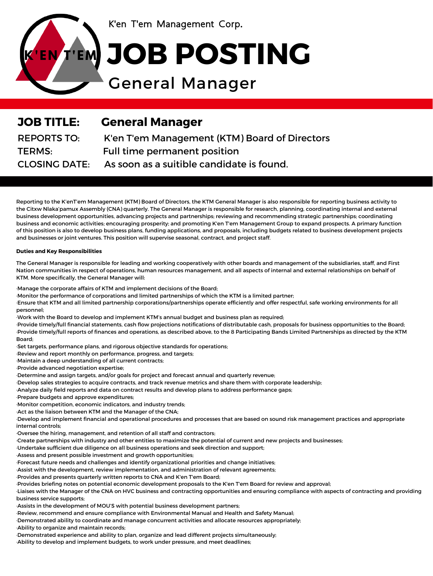

K'en T'em Management Corp.

## ENTEM JOB POSTING

## General Manager

| <b>JOB TITLE:</b>    | <b>General Manager</b>                        |
|----------------------|-----------------------------------------------|
| <b>REPORTS TO:</b>   | K'en T'em Management (KTM) Board of Directors |
| <b>TERMS:</b>        | Full time permanent position                  |
| <b>CLOSING DATE:</b> | As soon as a suitible candidate is found.     |

Reporting to the K'enT'em Management (KTM) Board of Directors, the KTM General Manager is also responsible for reporting business activity to the Citxw Nlaka'pamux Assembly (CNA) quarterly. The General Manager is responsible for research, planning, coordinating internal and external business development opportunities, advancing projects and partnerships; reviewing and recommending strategic partnerships; coordinating business and economic activities; encouraging prosperity; and promoting K'en T'em Management Group to expand prospects. A primary function of this position is also to develop business plans, funding applications, and proposals, including budgets related to business development projects and businesses or joint ventures. This position will supervise seasonal, contract, and project staff.

The General Manager is responsible for leading and working cooperatively with other boards and management of the subsidiaries, staff, and First Nation communities in respect of operations, human resources management, and all aspects of internal and external relationships on behalf of KTM. More specifically, the General Manager will:

## **Duties and Key Responsibilities**

·Manage the corporate affairs of KTM and implement decisions of the Board; ·Monitor the performance of corporations and limited partnerships of which the KTM is a limited partner;

·Ensure that KTM and all limited partnership corporations/partnerships operate efficiently and offer respectful, safe working environments for all personnel;

·Work with the Board to develop and implement KTM's annual budget and business plan as required;

·Provide timely/full financial statements, cash flow projections notifications of distributable cash, proposals for business opportunities to the Board; ·Provide timely/full reports of finances and operations, as described above, to the 8 Participating Bands Limited Partnerships as directed by the KTM Board;

·Set targets, performance plans, and rigorous objective standards for operations;

·Review and report monthly on performance, progress, and targets;

·Maintain a deep understanding of all current contracts;

·Provide advanced negotiation expertise;

·Determine and assign targets, and/or goals for project and forecast annual and quarterly revenue;

·Develop sales strategies to acquire contracts, and track revenue metrics and share them with corporate leadership;

·Analyze daily field reports and data on contract results and develop plans to address performance gaps;

·Prepare budgets and approve expenditures;

·Monitor competition, economic indicators, and industry trends;

·Act as the liaison between KTM and the Manager of the CNA;

·Develop and implement financial and operational procedures and processes that are based on sound risk management practices and appropriate internal controls;

·Oversee the hiring, management, and retention of all staff and contractors;

·Create partnerships with industry and other entities to maximize the potential of current and new projects and businesses;

·Undertake sufficient due diligence on all business operations and seek direction and support;

·Assess and present possible investment and growth opportunities;

·Forecast future needs and challenges and identify organizational priorities and change initiatives;

·Assist with the development, review implementation, and administration of relevant agreements;

·Provides and presents quarterly written reports to CNA and K'en T'em Board;

·Provides briefing notes on potential economic development proposals to the K'en T'em Board for review and approval;

·Liaises with the Manager of the CNA on HVC business and contracting opportunities and ensuring compliance with aspects of contracting and providing business service supports;

·Assists in the development of MOU'S with potential business development partners;

·Review, recommend and ensure compliance with Environmental Manual and Health and Safety Manual;

·Demonstrated ability to coordinate and manage concurrent activities and allocate resources appropriately;

·Ability to organize and maintain records;

·Demonstrated experience and ability to plan, organize and lead different projects simultaneously;

·Ability to develop and implement budgets, to work under pressure, and meet deadlines;